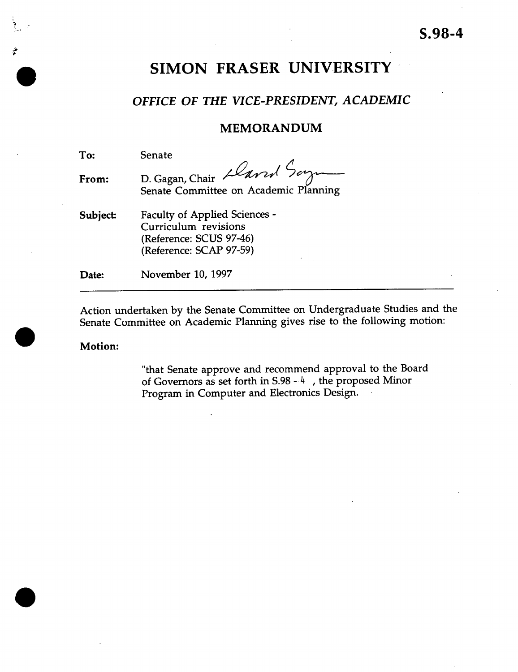# **SIMON FRASER UNIVERSITY**

### *OFFICE OF THE VICE-PRESIDENT, ACADEMIC*

### MEMORANDUM

To: Senate **From:** D. Gagan, Chair Senate Committee on Academic **Planning Subject** Faculty of Applied Sciences - Curriculum revisions (Reference: SCUS 97-46) (Reference: SCAP 97-59) **Date:** November 10, 1997

Action undertaken by the Senate Committee on Undergraduate Studies and the Senate Committee on Academic Planning gives rise to the following motion:

#### **Motion:**

**•**

 $\bullet$ 

"that Senate approve and recommend approval to the Board of Governors as set forth in S.98 - 4 , the proposed Minor Program in Computer and Electronics Design.